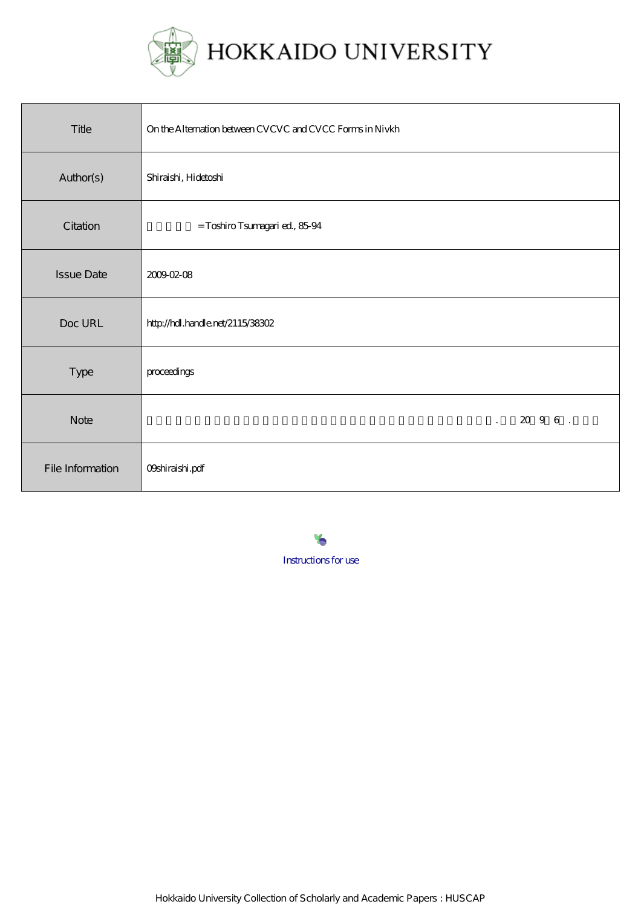

| Title             | On the Alternation between CVCVC and CVCC Forms in Nivkh |
|-------------------|----------------------------------------------------------|
| Author(s)         | Shiraishi, Hidetoshi                                     |
| Citation          | = Toshiro Tsumagari ed, 8594                             |
| <b>Issue Date</b> | 2009-02-08                                               |
| Doc URL           | http://hdl.handle.net/2115/38302                         |
| Type              | proceedings                                              |
| <b>Note</b>       | 20 9 6.<br>$\ddot{\phantom{a}}$                          |
| File Information  | <b>O</b> shiraishi.pdf                                   |

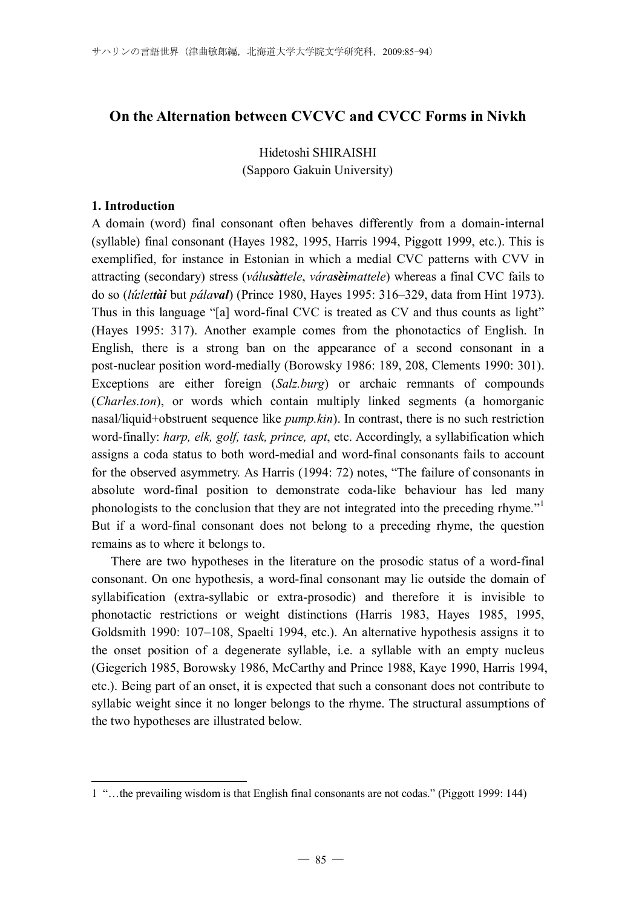## **On the Alternation between CVCVC and CVCC Forms in Nivkh**

Hidetoshi SHIRAISHI (Sapporo Gakuin University)

#### **1. Introduction**

 $\overline{a}$ 

A domain (word) final consonant often behaves differently from a domain-internal (syllable) final consonant (Hayes 1982, 1995, Harris 1994, Piggott 1999, etc.). This is exemplified, for instance in Estonian in which a medial CVC patterns with CVV in attracting (secondary) stress (*valusattele*, *varaseimattele*) whereas a final CVC fails to do so (*lulettai* but *palaval*) (Prince 1980, Hayes 1995: 316–329, data from Hint 1973). Thus in this language "[a] word-final CVC is treated as CV and thus counts as light" (Hayes 1995: 317). Another example comes from the phonotactics of English. In English, there is a strong ban on the appearance of a second consonant in a post-nuclear position word-medially (Borowsky 1986: 189, 208, Clements 1990: 301). Exceptions are either foreign (*Salz.burg*) or archaic remnants of compounds (*Charles.ton*), or words which contain multiply linked segments (a homorganic nasal/liquid+obstruent sequence like *pump.kin*). In contrast, there is no such restriction word-finally: *harp, elk, golf, task, prince, apt*, etc. Accordingly, a syllabification which assigns a coda status to both word-medial and word-final consonants fails to account for the observed asymmetry. As Harris (1994: 72) notes, "The failure of consonants in absolute word-final position to demonstrate coda-like behaviour has led many phonologists to the conclusion that they are not integrated into the preceding rhyme."<sup>1</sup> But if a word-final consonant does not belong to a preceding rhyme, the question remains as to where it belongs to.

There are two hypotheses in the literature on the prosodic status of a word-final consonant. On one hypothesis, a word-final consonant may lie outside the domain of syllabification (extra-syllabic or extra-prosodic) and therefore it is invisible to phonotactic restrictions or weight distinctions (Harris 1983, Hayes 1985, 1995, Goldsmith 1990: 107–108, Spaelti 1994, etc.). An alternative hypothesis assigns it to the onset position of a degenerate syllable, i.e. a syllable with an empty nucleus (Giegerich 1985, Borowsky 1986, McCarthy and Prince 1988, Kaye 1990, Harris 1994, etc.). Being part of an onset, it is expected that such a consonant does not contribute to syllabic weight since it no longer belongs to the rhyme. The structural assumptions of the two hypotheses are illustrated below.

<sup>1</sup> "…the prevailing wisdom is that English final consonants are not codas." (Piggott 1999: 144)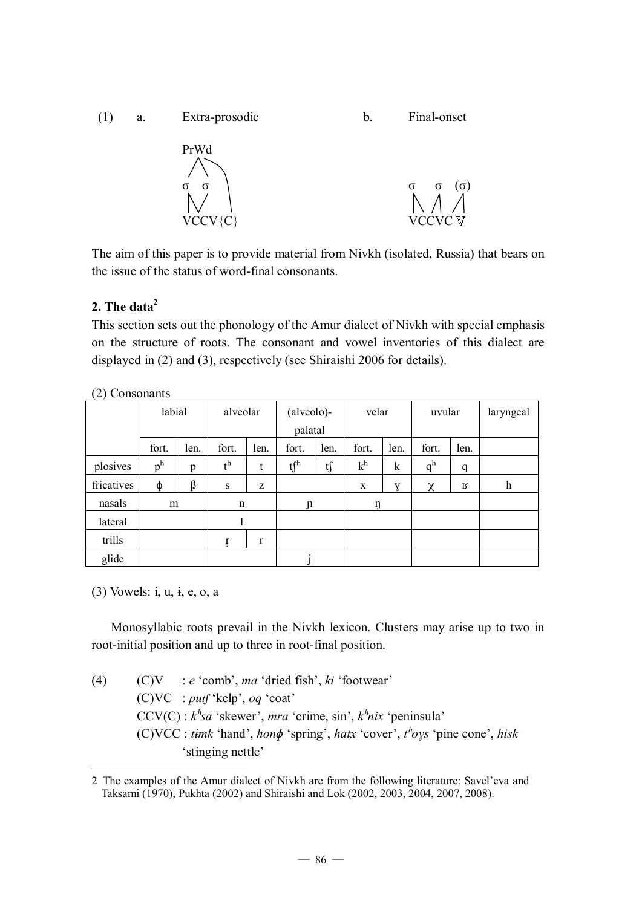



The aim of this paper is to provide material from Nivkh (isolated, Russia) that bears on the issue of the status of word-final consonants.

# **2. The data<sup>2</sup>**

This section sets out the phonology of the Amur dialect of Nivkh with special emphasis on the structure of roots. The consonant and vowel inventories of this dialect are displayed in (2) and (3), respectively (see Shiraishi 2006 for details).

| $\sim$ $\sim$ |        |      |             |      |               |         |                |             |              |      |                           |
|---------------|--------|------|-------------|------|---------------|---------|----------------|-------------|--------------|------|---------------------------|
|               | labial |      | alveolar    |      | (alveolo)-    |         | velar          |             | uvular       |      | laryngeal                 |
|               |        |      |             |      | palatal       |         |                |             |              |      |                           |
|               | fort.  | len. | fort.       | len. | fort.         | len.    | fort.          | len.        | fort.        | len. |                           |
| plosives      | $p^h$  | p    | $t^h$       | t    | $tf^h$        | $t\int$ | k <sup>h</sup> | $\mathbf k$ | $q^h$        | q    |                           |
| fricatives    | ф      | β    | S           | z    |               |         | X              | Y           | $\pmb{\chi}$ | R    | $\boldsymbol{\mathrm{h}}$ |
| nasals        | m      |      | $\mathbf n$ |      | $\mathfrak n$ |         | ŋ              |             |              |      |                           |
| lateral       |        |      |             |      |               |         |                |             |              |      |                           |
| trills        |        |      | ŗ           | r    |               |         |                |             |              |      |                           |
| glide         |        |      |             |      |               |         |                |             |              |      |                           |

(2) Consonants

 $(3)$  Vowels: i, u, i, e, o, a

Monosyllabic roots prevail in the Nivkh lexicon. Clusters may arise up to two in root-initial position and up to three in root-final position.

(4) (C)V : *e* 'comb', *ma* 'dried fish', *ki* 'footwear' (C)VC : *put* 'kelp', *oq* 'coat'  $CCV(C): k<sup>h</sup>sa 'skewer', *mra*'crime, sin',  $k<sup>h</sup>nix$ 'peninsula'$ (C)VCC : *tmk* 'hand', *hon* 'spring', *hatx* 'cover', *tos* 'pine cone', *hisk* 'stinging nettle'

 $\overline{a}$ 2 The examples of the Amur dialect of Nivkh are from the following literature: Savel'eva and Taksami (1970), Pukhta (2002) and Shiraishi and Lok (2002, 2003, 2004, 2007, 2008).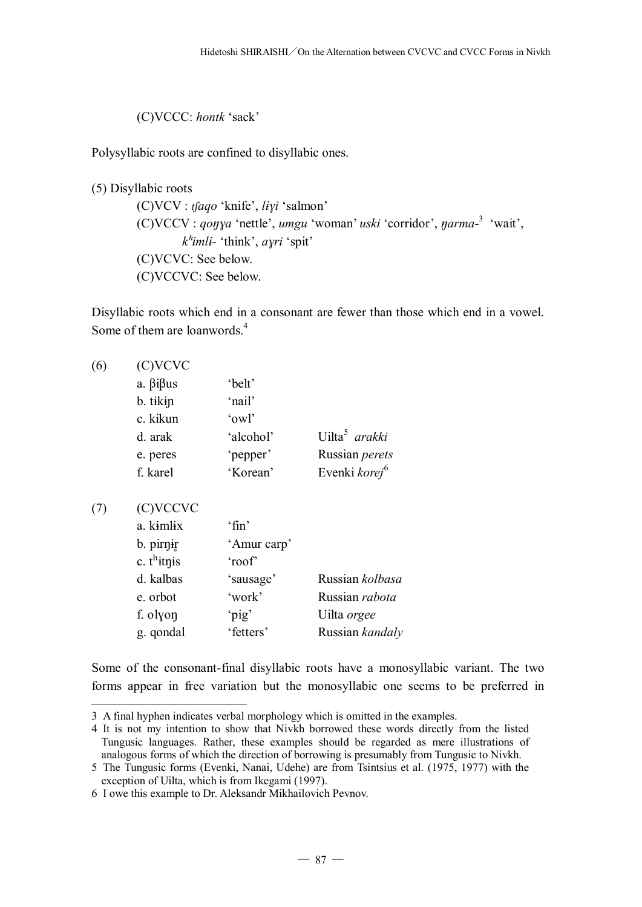(C)VCCC: *hontk* 'sack'

Polysyllabic roots are confined to disyllabic ones.

(5) Disyllabic roots

(C)VCV : *taqo* 'knife', *li* 'salmon' (C)VCCV : *qoyya* 'nettle', *umgu* 'woman' *uski* 'corridor', *yarma*-<sup>3</sup> 'wait',  $k^h$ *imli*- 'think', *ayri* 'spit' (C)VCVC: See below. (C)VCCVC: See below.

Disyllabic roots which end in a consonant are fewer than those which end in a vowel. Some of them are loanwords. 4

| (C)VCVC         |           |                           |
|-----------------|-----------|---------------------------|
| $a. \beta$ ißus | 'belt'    |                           |
| b. tikin        | 'nail'    |                           |
| c. kikun        | 'owl'     |                           |
| d. arak         | 'alcohol' | Uilta <sup>5</sup> arakki |
| e. peres        | 'pepper'  | Russian perets            |
| f. karel        | 'Korean'  | Evenki korej <sup>6</sup> |

(7) (C)VCCVC

 $(6)$ 

 $\overline{a}$ 

| a. k <del>i</del> ml <del>i</del> x | $^{\circ}$ fin' |                 |
|-------------------------------------|-----------------|-----------------|
| b. pirnir                           | 'Amur carp'     |                 |
| c. t <sup>h</sup> itnis             | 'roof'          |                 |
| d. kalbas                           | 'sausage'       | Russian kolbasa |
| e. orbot                            | 'work'          | Russian rabota  |
| f. olyon                            | 'pig'           | Uilta orgee     |
| g. qondal                           | 'fetters'       | Russian kandaly |

Some of the consonant-final disyllabic roots have a monosyllabic variant. The two forms appear in free variation but the monosyllabic one seems to be preferred in

<sup>3</sup> A final hyphen indicates verbal morphology which is omitted in the examples.

<sup>4</sup> It is not my intention to show that Nivkh borrowed these words directly from the listed Tungusic languages. Rather, these examples should be regarded as mere illustrations of analogous forms of which the direction of borrowing is presumably from Tungusic to Nivkh.

<sup>5</sup> The Tungusic forms (Evenki, Nanai, Udehe) are from Tsintsius et al. (1975, 1977) with the exception of Uilta, which is from Ikegami (1997).

<sup>6</sup> I owe this example to Dr. Aleksandr Mikhailovich Pevnov.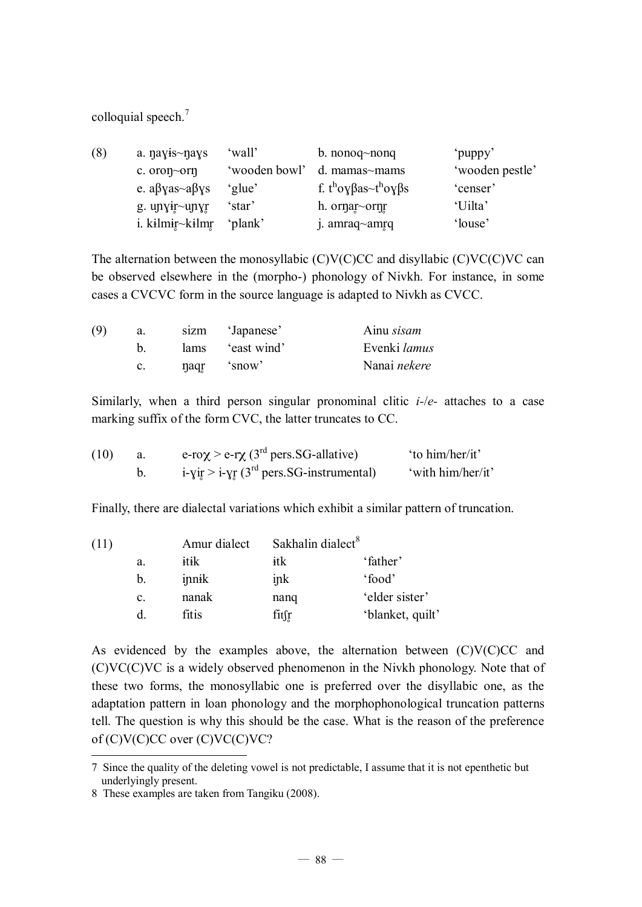colloquial speech.<sup>7</sup>

| (8) | a. nayis~nays                 | ʻwall'             | b. nonoq $\sim$ nonq                                        | 'puppy'         |
|-----|-------------------------------|--------------------|-------------------------------------------------------------|-----------------|
|     | c. $\sigma$ ron $\sim$ orn    | 'wooden bowl'      | d. mamas $\sim$ mams                                        | 'wooden pestle' |
|     | e. a $\beta$ yas~a $\beta$ ys | 'glue'             | f. t <sup>h</sup> oy $\beta$ as~t <sup>h</sup> oy $\beta$ s | 'censer'        |
|     | g. unvir $\sim$ unvr          | `star <sup>?</sup> | h. ornar $\sim$ orn $r$                                     | 'Uilta'         |
|     | i. kilmir~kilmr               | 'plank'            | j. amraq~amrq                                               | 'louse'         |

The alternation between the monosyllabic  $(C)V(C)CC$  and disyllabic  $(C)VC(C)VC$  can be observed elsewhere in the (morpho-) phonology of Nivkh. For instance, in some cases a CVCVC form in the source language is adapted to Nivkh as CVCC.

| (9) | a.             | sizm | 'Japanese' | Ainu sisam   |
|-----|----------------|------|------------|--------------|
|     |                | lams | east wind' | Evenki lamus |
|     | $\mathbf{c}$ . | naqr | 'snow'     | Nanai nekere |

Similarly, when a third person singular pronominal clitic *i-*/*e-* attaches to a case marking suffix of the form CVC, the latter truncates to CC.

| (10) | e-ro $\chi$ > e-r $\chi$ (3 <sup>rd</sup> pers. SG-allative) | 'to him/her/it'   |
|------|--------------------------------------------------------------|-------------------|
|      | i-yir > i-yr $(3^{rd}$ pers. SG-instrumental)                | 'with him/her/it' |

Finally, there are dialectal variations which exhibit a similar pattern of truncation.

| (11) |             | Amur dialect | Sakhalin dialect <sup>8</sup> |                  |
|------|-------------|--------------|-------------------------------|------------------|
|      | a.          | itik         | itk                           | 'father'         |
|      | $b_{\cdot}$ | innik        | ink                           | 'food'           |
|      | C.          | nanak        | nang                          | 'elder sister'   |
|      |             | fitis        | fitfr                         | 'blanket, quilt' |

As evidenced by the examples above, the alternation between  $(C)V(C)CC$  and (C)VC(C)VC is a widely observed phenomenon in the Nivkh phonology. Note that of these two forms, the monosyllabic one is preferred over the disyllabic one, as the adaptation pattern in loan phonology and the morphophonological truncation patterns tell. The question is why this should be the case. What is the reason of the preference of (C)V(C)CC over (C)VC(C)VC?

 $\overline{a}$ 

<sup>7</sup> Since the quality of the deleting vowel is not predictable, I assume that it is not epenthetic but underlyingly present.

<sup>8</sup> These examples are taken from Tangiku (2008).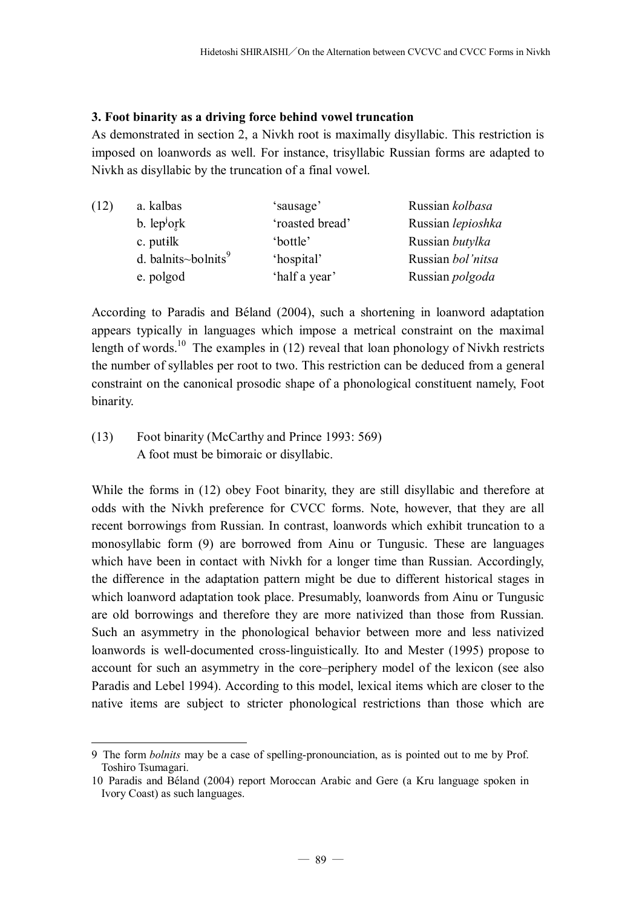## **3. Foot binarity as a driving force behind vowel truncation**

As demonstrated in section 2, a Nivkh root is maximally disyllabic. This restriction is imposed on loanwords as well. For instance, trisyllabic Russian forms are adapted to Nivkh as disyllabic by the truncation of a final vowel.

| a. kalbas                   | 'sausage'       | Russian kolbasa        |
|-----------------------------|-----------------|------------------------|
| $b.$ lep $\overline{p}$ ork | 'roasted bread' | Russian lepioshka      |
| c. putilk                   | 'bottle'        | Russian butylka        |
| d. balnits~bolnits $9$      | 'hospital'      | Russian bol'nitsa      |
| e. polgod                   | 'half a year'   | Russian <i>polgoda</i> |
|                             |                 |                        |

According to Paradis and Beland (2004), such a shortening in loanword adaptation appears typically in languages which impose a metrical constraint on the maximal length of words.<sup>10</sup> The examples in  $(12)$  reveal that loan phonology of Nivkh restricts the number of syllables per root to two. This restriction can be deduced from a general constraint on the canonical prosodic shape of a phonological constituent namely, Foot binarity.

(13) Foot binarity (McCarthy and Prince 1993: 569) A foot must be bimoraic or disyllabic.

While the forms in (12) obey Foot binarity, they are still disyllabic and therefore at odds with the Nivkh preference for CVCC forms. Note, however, that they are all recent borrowings from Russian. In contrast, loanwords which exhibit truncation to a monosyllabic form (9) are borrowed from Ainu or Tungusic. These are languages which have been in contact with Nivkh for a longer time than Russian. Accordingly, the difference in the adaptation pattern might be due to different historical stages in which loanword adaptation took place. Presumably, loanwords from Ainu or Tungusic are old borrowings and therefore they are more nativized than those from Russian. Such an asymmetry in the phonological behavior between more and less nativized loanwords is well-documented cross-linguistically. Ito and Mester (1995) propose to account for such an asymmetry in the core–periphery model of the lexicon (see also Paradis and Lebel 1994). According to this model, lexical items which are closer to the native items are subject to stricter phonological restrictions than those which are

 $\overline{a}$ 9 The form *bolnits* may be a case of spelling-pronounciation, as is pointed out to me by Prof. Toshiro Tsumagari.

<sup>10</sup> Paradis and Beland (2004) report Moroccan Arabic and Gere (a Kru language spoken in Ivory Coast) as such languages.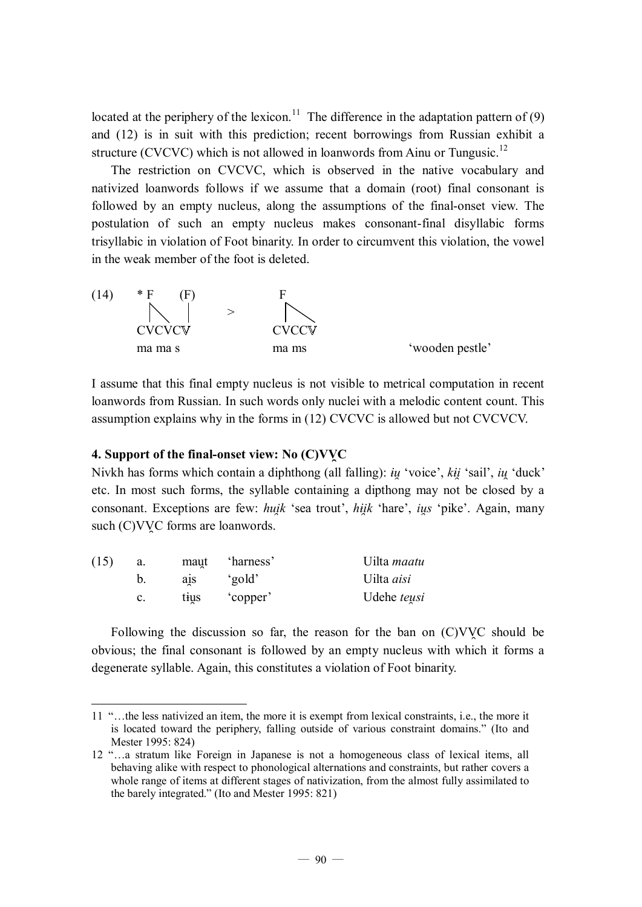located at the periphery of the lexicon.<sup>11</sup> The difference in the adaptation pattern of (9) and (12) is in suit with this prediction; recent borrowings from Russian exhibit a structure (CVCVC) which is not allowed in loanwords from Ainu or Tungusic.<sup>12</sup>

The restriction on CVCVC, which is observed in the native vocabulary and nativized loanwords follows if we assume that a domain (root) final consonant is followed by an empty nucleus, along the assumptions of the final-onset view. The postulation of such an empty nucleus makes consonant-final disyllabic forms trisyllabic in violation of Foot binarity. In order to circumvent this violation, the vowel in the weak member of the foot is deleted.



I assume that this final empty nucleus is not visible to metrical computation in recent loanwords from Russian. In such words only nuclei with a melodic content count. This assumption explains why in the forms in (12) CVCVC is allowed but not CVCVCV.

## **4. Support of the final-onset view: No (C)VVC**

 $\overline{a}$ 

Nivkh has forms which contain a diphthong (all falling): *u* 'voice', *ki* 'sail', *iu* 'duck' etc. In most such forms, the syllable containing a dipthong may not be closed by a consonant. Exceptions are few: *huik* 'sea trout', *hik* 'hare', *ius* 'pike'. Again, many such (C)VVC forms are loanwords.

| (15) | maut | 'harness'           | Uilta <i>maatu</i> |
|------|------|---------------------|--------------------|
|      | ais  | 'gold'              | Uilta <i>aisi</i>  |
|      | tius | copper <sup>'</sup> | Udehe teusi        |

Following the discussion so far, the reason for the ban on (C)VVC should be obvious; the final consonant is followed by an empty nucleus with which it forms a degenerate syllable. Again, this constitutes a violation of Foot binarity.

<sup>11</sup> "…the less nativized an item, the more it is exempt from lexical constraints, i.e., the more it is located toward the periphery, falling outside of various constraint domains." (Ito and Mester 1995: 824)

<sup>12</sup> "…a stratum like Foreign in Japanese is not a homogeneous class of lexical items, all behaving alike with respect to phonological alternations and constraints, but rather covers a whole range of items at different stages of nativization, from the almost fully assimilated to the barely integrated." (Ito and Mester 1995: 821)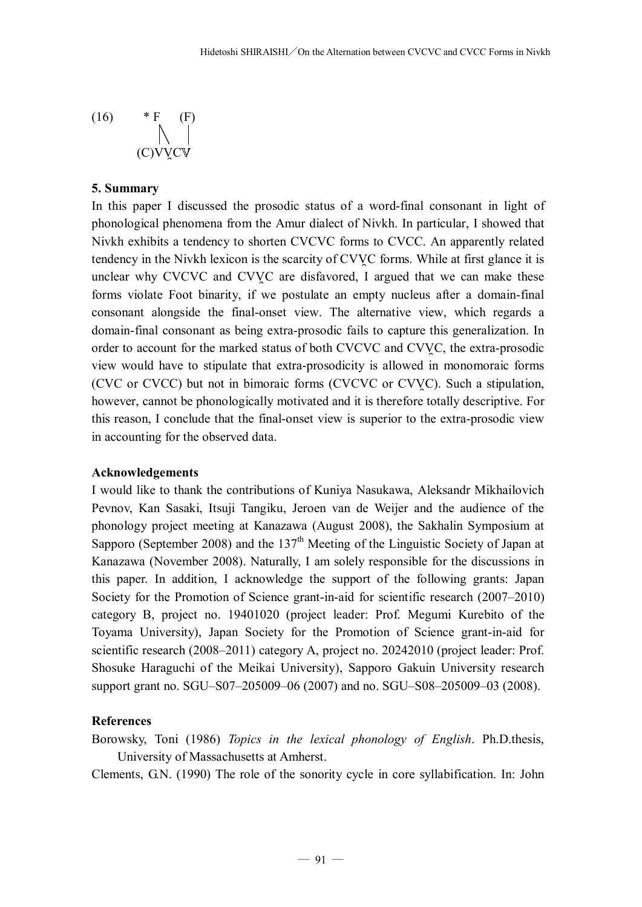(16) 
$$
* F (F)
$$
  

$$
(\text{C}) \text{V} \text{V} \text{C} \text{V}
$$

#### **5. Summary**

In this paper I discussed the prosodic status of a word-final consonant in light of phonological phenomena from the Amur dialect of Nivkh. In particular, I showed that Nivkh exhibits a tendency to shorten CVCVC forms to CVCC. An apparently related tendency in the Nivkh lexicon is the scarcity of CVVC forms. While at first glance it is unclear why CVCVC and CVVC are disfavored, I argued that we can make these forms violate Foot binarity, if we postulate an empty nucleus after a domain-final consonant alongside the final-onset view. The alternative view, which regards a domain-final consonant as being extra-prosodic fails to capture this generalization. In order to account for the marked status of both CVCVC and CVVC, the extra-prosodic view would have to stipulate that extra-prosodicity is allowed in monomoraic forms (CVC or CVCC) but not in bimoraic forms (CVCVC or CVVC). Such a stipulation, however, cannot be phonologically motivated and it is therefore totally descriptive. For this reason, I conclude that the final-onset view is superior to the extra-prosodic view in accounting for the observed data.

#### **Acknowledgements**

I would like to thank the contributions of Kuniya Nasukawa, Aleksandr Mikhailovich Pevnov, Kan Sasaki, Itsuji Tangiku, Jeroen van de Weijer and the audience of the phonology project meeting at Kanazawa (August 2008), the Sakhalin Symposium at Sapporo (September 2008) and the  $137<sup>th</sup>$  Meeting of the Linguistic Society of Japan at Kanazawa (November 2008). Naturally, I am solely responsible for the discussions in this paper. In addition, I acknowledge the support of the following grants: Japan Society for the Promotion of Science grant-in-aid for scientific research (2007–2010) category B, project no. 19401020 (project leader: Prof. Megumi Kurebito of the Toyama University), Japan Society for the Promotion of Science grant-in-aid for scientific research (2008–2011) category A, project no. 20242010 (project leader: Prof. Shosuke Haraguchi of the Meikai University), Sapporo Gakuin University research support grant no. SGU–S07–205009–06 (2007) and no. SGU–S08–205009–03 (2008).

#### **References**

Borowsky, Toni (1986) *Topics in the lexical phonology of English*. Ph.D.thesis, University of Massachusetts at Amherst.

Clements, G.N. (1990) The role of the sonority cycle in core syllabification. In: John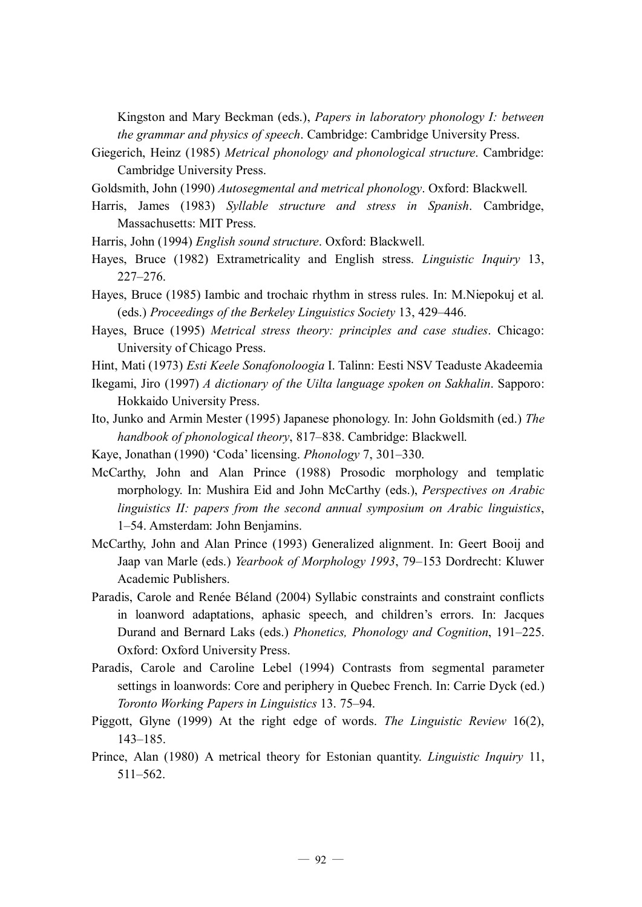Kingston and Mary Beckman (eds.), *Papers in laboratory phonology I: between the grammar and physics of speech*. Cambridge: Cambridge University Press.

- Giegerich, Heinz (1985) *Metrical phonology and phonological structure*. Cambridge: Cambridge University Press.
- Goldsmith, John (1990) *Autosegmental and metrical phonology*. Oxford: Blackwell.
- Harris, James (1983) *Syllable structure and stress in Spanish*. Cambridge, Massachusetts: MIT Press.
- Harris, John (1994) *English sound structure*. Oxford: Blackwell.
- Hayes, Bruce (1982) Extrametricality and English stress. *Linguistic Inquiry* 13, 227–276.
- Hayes, Bruce (1985) Iambic and trochaic rhythm in stress rules. In: M.Niepokuj et al. (eds.) *Proceedings of the Berkeley Linguistics Society* 13, 429–446.
- Hayes, Bruce (1995) *Metrical stress theory: principles and case studies*. Chicago: University of Chicago Press.
- Hint, Mati (1973) *Esti Keele Sonafonoloogia* I. Talinn: Eesti NSV Teaduste Akadeemia
- Ikegami, Jiro (1997) *A dictionary of the Uilta language spoken on Sakhalin*. Sapporo: Hokkaido University Press.
- Ito, Junko and Armin Mester (1995) Japanese phonology. In: John Goldsmith (ed.) *The handbook of phonological theory*, 817–838. Cambridge: Blackwell.
- Kaye, Jonathan (1990) 'Coda' licensing. *Phonology* 7, 301–330.
- McCarthy, John and Alan Prince (1988) Prosodic morphology and templatic morphology. In: Mushira Eid and John McCarthy (eds.), *Perspectives on Arabic linguistics II: papers from the second annual symposium on Arabic linguistics*, 1–54. Amsterdam: John Benjamins.
- McCarthy, John and Alan Prince (1993) Generalized alignment. In: Geert Booij and Jaap van Marle (eds.) *Yearbook of Morphology 1993*, 79–153 Dordrecht: Kluwer Academic Publishers.
- Paradis, Carole and Renée Béland (2004) Syllabic constraints and constraint conflicts in loanword adaptations, aphasic speech, and children's errors. In: Jacques Durand and Bernard Laks (eds.) *Phonetics, Phonology and Cognition*, 191–225. Oxford: Oxford University Press.
- Paradis, Carole and Caroline Lebel (1994) Contrasts from segmental parameter settings in loanwords: Core and periphery in Quebec French. In: Carrie Dyck (ed.) *Toronto Working Papers in Linguistics* 13. 75–94.
- Piggott, Glyne (1999) At the right edge of words. *The Linguistic Review* 16(2), 143–185.
- Prince, Alan (1980) A metrical theory for Estonian quantity. *Linguistic Inquiry* 11, 511–562.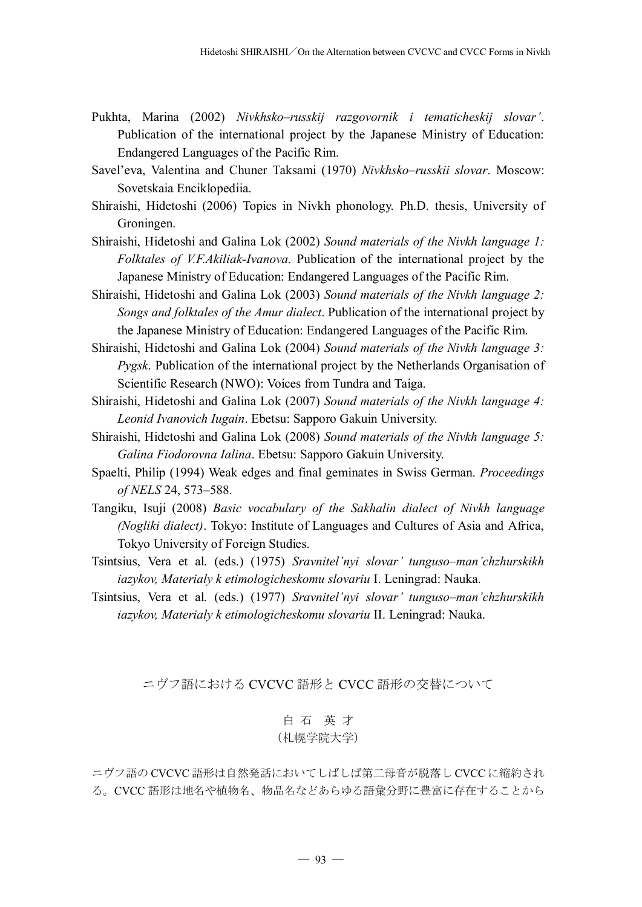- Pukhta, Marina (2002) *Nivkhsko–russkij razgovornik i tematicheskij slovar'*. Publication of the international project by the Japanese Ministry of Education: Endangered Languages of the Pacific Rim.
- Savel'eva, Valentina and Chuner Taksami (1970) *Nivkhsko–russkii slovar*. Moscow: Sovetskaia Enciklopediia.
- Shiraishi, Hidetoshi (2006) Topics in Nivkh phonology. Ph.D. thesis, University of Groningen.
- Shiraishi, Hidetoshi and Galina Lok (2002) *Sound materials of the Nivkh language 1: Folktales of V.F.Akiliak-Ivanova*. Publication of the international project by the Japanese Ministry of Education: Endangered Languages of the Pacific Rim.
- Shiraishi, Hidetoshi and Galina Lok (2003) *Sound materials of the Nivkh language 2: Songs and folktales of the Amur dialect*. Publication of the international project by the Japanese Ministry of Education: Endangered Languages of the Pacific Rim.
- Shiraishi, Hidetoshi and Galina Lok (2004) *Sound materials of the Nivkh language 3: Pygsk*. Publication of the international project by the Netherlands Organisation of Scientific Research (NWO): Voices from Tundra and Taiga.
- Shiraishi, Hidetoshi and Galina Lok (2007) *Sound materials of the Nivkh language 4: Leonid Ivanovich Iugain*. Ebetsu: Sapporo Gakuin University.
- Shiraishi, Hidetoshi and Galina Lok (2008) *Sound materials of the Nivkh language 5: Galina Fiodorovna Ialina*. Ebetsu: Sapporo Gakuin University.
- Spaelti, Philip (1994) Weak edges and final geminates in Swiss German. *Proceedings of NELS* 24, 573–588.
- Tangiku, Isuji (2008) *Basic vocabulary of the Sakhalin dialect of Nivkh language (Nogliki dialect)*. Tokyo: Institute of Languages and Cultures of Asia and Africa, Tokyo University of Foreign Studies.
- Tsintsius, Vera et al. (eds.) (1975) *Sravnitel'nyi slovar' tunguso–man'chzhurskikh iazykov, Materialy k etimologicheskomu slovariu* I. Leningrad: Nauka.
- Tsintsius, Vera et al. (eds.) (1977) *Sravnitel'nyi slovar' tunguso–man'chzhurskikh iazykov, Materialy k etimologicheskomu slovariu* II. Leningrad: Nauka.

ニヴフ語における CVCVC 語形と CVCC 語形の交替について

## 白 石 英 才 (札幌学院大学)

ニヴフ語の CVCVC 語形は自然発話においてしばしば第二母音が脱落し CVCC に縮約され る。CVCC 語形は地名や植物名、物品名などあらゆる語彙分野に豊富に存在することから